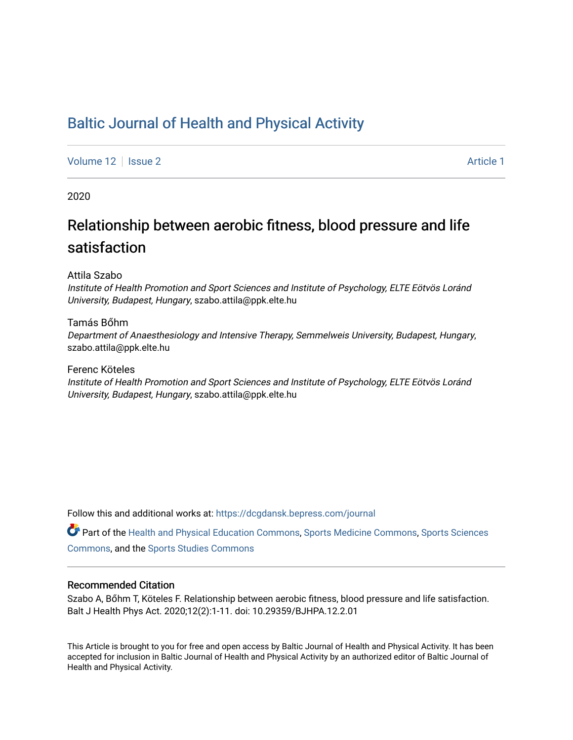## [Baltic Journal of Health and Physical Activity](https://dcgdansk.bepress.com/journal)

[Volume 12](https://dcgdansk.bepress.com/journal/vol12) | [Issue 2](https://dcgdansk.bepress.com/journal/vol12/iss2) Article 1

2020

## Relationship between aerobic fitness, blood pressure and life satisfaction

Attila Szabo

Institute of Health Promotion and Sport Sciences and Institute of Psychology, ELTE Eötvös Loránd University, Budapest, Hungary, szabo.attila@ppk.elte.hu

Tamás Bőhm

Department of Anaesthesiology and Intensive Therapy, Semmelweis University, Budapest, Hungary, szabo.attila@ppk.elte.hu

Ferenc Köteles

Institute of Health Promotion and Sport Sciences and Institute of Psychology, ELTE Eötvös Loránd University, Budapest, Hungary, szabo.attila@ppk.elte.hu

Follow this and additional works at: [https://dcgdansk.bepress.com/journal](https://dcgdansk.bepress.com/journal?utm_source=dcgdansk.bepress.com%2Fjournal%2Fvol12%2Fiss2%2F1&utm_medium=PDF&utm_campaign=PDFCoverPages)

Part of the [Health and Physical Education Commons](http://network.bepress.com/hgg/discipline/1327?utm_source=dcgdansk.bepress.com%2Fjournal%2Fvol12%2Fiss2%2F1&utm_medium=PDF&utm_campaign=PDFCoverPages), [Sports Medicine Commons,](http://network.bepress.com/hgg/discipline/1331?utm_source=dcgdansk.bepress.com%2Fjournal%2Fvol12%2Fiss2%2F1&utm_medium=PDF&utm_campaign=PDFCoverPages) [Sports Sciences](http://network.bepress.com/hgg/discipline/759?utm_source=dcgdansk.bepress.com%2Fjournal%2Fvol12%2Fiss2%2F1&utm_medium=PDF&utm_campaign=PDFCoverPages) [Commons](http://network.bepress.com/hgg/discipline/759?utm_source=dcgdansk.bepress.com%2Fjournal%2Fvol12%2Fiss2%2F1&utm_medium=PDF&utm_campaign=PDFCoverPages), and the [Sports Studies Commons](http://network.bepress.com/hgg/discipline/1198?utm_source=dcgdansk.bepress.com%2Fjournal%2Fvol12%2Fiss2%2F1&utm_medium=PDF&utm_campaign=PDFCoverPages) 

#### Recommended Citation

Szabo A, Bőhm T, Köteles F. Relationship between aerobic fitness, blood pressure and life satisfaction. Balt J Health Phys Act. 2020;12(2):1-11. doi: 10.29359/BJHPA.12.2.01

This Article is brought to you for free and open access by Baltic Journal of Health and Physical Activity. It has been accepted for inclusion in Baltic Journal of Health and Physical Activity by an authorized editor of Baltic Journal of Health and Physical Activity.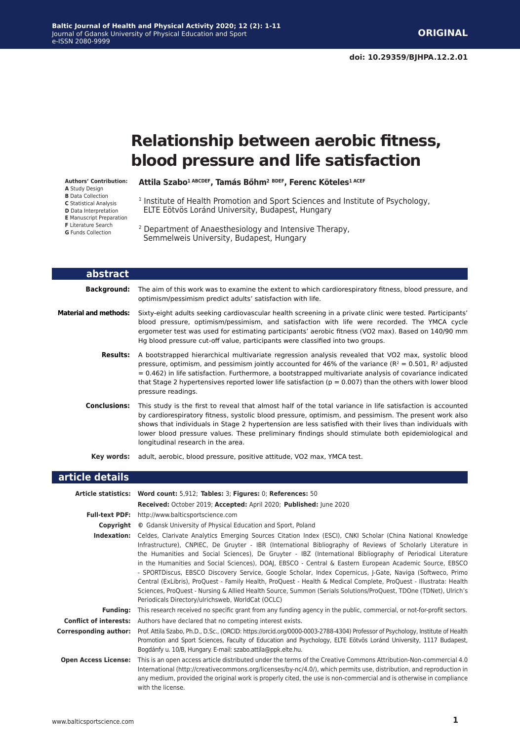# **Relationship between aerobic fitness, blood pressure and life satisfaction**

**Authors' Contribution:**

**A** Study Design **B** Data Collection **C** Statistical Analysis **D** Data Interpretation **E** Manuscript Preparation

- **F** Literature Search
- **G** Funds Collection

**Attila Szabo1 ABCDEF, Tamás Bőhm<sup>2</sup> BDEF, Ferenc Köteles1 ACEF**

- <sup>1</sup> Institute of Health Promotion and Sport Sciences and Institute of Psychology, ELTE Eötvös Loránd University, Budapest, Hungary
- 2 Department of Anaesthesiology and Intensive Therapy, Semmelweis University, Budapest, Hungary

| abstract              |                                                                                                                                                                                                                                                                                                                                                                                                                                                                            |
|-----------------------|----------------------------------------------------------------------------------------------------------------------------------------------------------------------------------------------------------------------------------------------------------------------------------------------------------------------------------------------------------------------------------------------------------------------------------------------------------------------------|
| <b>Background:</b>    | The aim of this work was to examine the extent to which cardiorespiratory fitness, blood pressure, and<br>optimism/pessimism predict adults' satisfaction with life.                                                                                                                                                                                                                                                                                                       |
| Material and methods: | Sixty-eight adults seeking cardiovascular health screening in a private clinic were tested. Participants'<br>blood pressure, optimism/pessimism, and satisfaction with life were recorded. The YMCA cycle<br>ergometer test was used for estimating participants' aerobic fitness (VO2 max). Based on 140/90 mm<br>Ha blood pressure cut-off value, participants were classified into two groups.                                                                          |
| <b>Results:</b>       | A bootstrapped hierarchical multivariate regression analysis revealed that VO2 max, systolic blood<br>pressure, optimism, and pessimism jointly accounted for 46% of the variance ( $R^2 = 0.501$ , $R^2$ adjusted<br>$= 0.462$ ) in life satisfaction. Furthermore, a bootstrapped multivariate analysis of covariance indicated<br>that Stage 2 hypertensives reported lower life satisfaction ( $p = 0.007$ ) than the others with lower blood<br>pressure readings.    |
| <b>Conclusions:</b>   | This study is the first to reveal that almost half of the total variance in life satisfaction is accounted<br>by cardiorespiratory fitness, systolic blood pressure, optimism, and pessimism. The present work also<br>shows that individuals in Stage 2 hypertension are less satisfied with their lives than individuals with<br>lower blood pressure values. These preliminary findings should stimulate both epidemiological and<br>longitudinal research in the area. |
| Key words:            | adult, aerobic, blood pressure, positive attitude, VO2 max, YMCA test.                                                                                                                                                                                                                                                                                                                                                                                                     |

#### **article details**

|                               | Article statistics: Word count: 5,912; Tables: 3; Figures: 0; References: 50                                                                                                                                                                                                                                                                                                                                                                                                                                                                                                                                                                                                                                                                                                                                                                                  |
|-------------------------------|---------------------------------------------------------------------------------------------------------------------------------------------------------------------------------------------------------------------------------------------------------------------------------------------------------------------------------------------------------------------------------------------------------------------------------------------------------------------------------------------------------------------------------------------------------------------------------------------------------------------------------------------------------------------------------------------------------------------------------------------------------------------------------------------------------------------------------------------------------------|
|                               |                                                                                                                                                                                                                                                                                                                                                                                                                                                                                                                                                                                                                                                                                                                                                                                                                                                               |
|                               | Received: October 2019; Accepted: April 2020; Published: June 2020                                                                                                                                                                                                                                                                                                                                                                                                                                                                                                                                                                                                                                                                                                                                                                                            |
|                               | Full-text PDF: http://www.balticsportscience.com                                                                                                                                                                                                                                                                                                                                                                                                                                                                                                                                                                                                                                                                                                                                                                                                              |
| Copyright                     | © Gdansk University of Physical Education and Sport, Poland                                                                                                                                                                                                                                                                                                                                                                                                                                                                                                                                                                                                                                                                                                                                                                                                   |
| Indexation:                   | Celdes, Clarivate Analytics Emerging Sources Citation Index (ESCI), CNKI Scholar (China National Knowledge<br>Infrastructure), CNPIEC, De Gruyter - IBR (International Bibliography of Reviews of Scholarly Literature in<br>the Humanities and Social Sciences), De Gruyter - IBZ (International Bibliography of Periodical Literature<br>in the Humanities and Social Sciences), DOAJ, EBSCO - Central & Eastern European Academic Source, EBSCO<br>- SPORTDiscus, EBSCO Discovery Service, Google Scholar, Index Copernicus, J-Gate, Naviga (Softweco, Primo<br>Central (ExLibris), ProQuest - Family Health, ProQuest - Health & Medical Complete, ProQuest - Illustrata: Health<br>Sciences, ProQuest - Nursing & Allied Health Source, Summon (Serials Solutions/ProQuest, TDOne (TDNet), Ulrich's<br>Periodicals Directory/ulrichsweb, WorldCat (OCLC) |
| <b>Funding:</b>               | This research received no specific grant from any funding agency in the public, commercial, or not-for-profit sectors.                                                                                                                                                                                                                                                                                                                                                                                                                                                                                                                                                                                                                                                                                                                                        |
| <b>Conflict of interests:</b> | Authors have declared that no competing interest exists.                                                                                                                                                                                                                                                                                                                                                                                                                                                                                                                                                                                                                                                                                                                                                                                                      |
| <b>Corresponding author:</b>  | Prof. Attila Szabo, Ph.D., D.Sc., (ORCID: https://orcid.org/0000-0003-2788-4304) Professor of Psychology, Institute of Health<br>Promotion and Sport Sciences, Faculty of Education and Psychology, ELTE Eötvös Loránd University, 1117 Budapest,<br>Bogdánfy u. 10/B, Hungary. E-mail: szabo.attila@ppk.elte.hu.                                                                                                                                                                                                                                                                                                                                                                                                                                                                                                                                             |
| <b>Open Access License:</b>   | This is an open access article distributed under the terms of the Creative Commons Attribution-Non-commercial 4.0<br>International (http://creativecommons.org/licenses/by-nc/4.0/), which permits use, distribution, and reproduction in<br>any medium, provided the original work is properly cited, the use is non-commercial and is otherwise in compliance<br>with the license.                                                                                                                                                                                                                                                                                                                                                                                                                                                                          |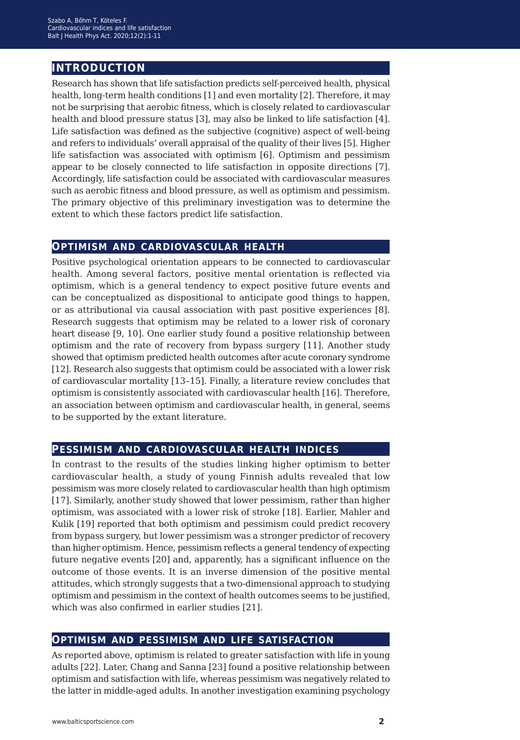### **introduction**

Research has shown that life satisfaction predicts self-perceived health, physical health, long-term health conditions [1] and even mortality [2]. Therefore, it may not be surprising that aerobic fitness, which is closely related to cardiovascular health and blood pressure status [3], may also be linked to life satisfaction [4]. Life satisfaction was defined as the subjective (cognitive) aspect of well-being and refers to individuals' overall appraisal of the quality of their lives [5]. Higher life satisfaction was associated with optimism [6]. Optimism and pessimism appear to be closely connected to life satisfaction in opposite directions [7]. Accordingly, life satisfaction could be associated with cardiovascular measures such as aerobic fitness and blood pressure, as well as optimism and pessimism. The primary objective of this preliminary investigation was to determine the extent to which these factors predict life satisfaction.

#### **optimism and cardiovascular health**

Positive psychological orientation appears to be connected to cardiovascular health. Among several factors, positive mental orientation is reflected via optimism, which is a general tendency to expect positive future events and can be conceptualized as dispositional to anticipate good things to happen, or as attributional via causal association with past positive experiences [8]. Research suggests that optimism may be related to a lower risk of coronary heart disease [9, 10]. One earlier study found a positive relationship between optimism and the rate of recovery from bypass surgery [11]. Another study showed that optimism predicted health outcomes after acute coronary syndrome [12]. Research also suggests that optimism could be associated with a lower risk of cardiovascular mortality [13–15]. Finally, a literature review concludes that optimism is consistently associated with cardiovascular health [16]. Therefore, an association between optimism and cardiovascular health, in general, seems to be supported by the extant literature.

#### **pessimism and cardiovascular health indices**

In contrast to the results of the studies linking higher optimism to better cardiovascular health, a study of young Finnish adults revealed that low pessimism was more closely related to cardiovascular health than high optimism [17]. Similarly, another study showed that lower pessimism, rather than higher optimism, was associated with a lower risk of stroke [18]. Earlier, Mahler and Kulik [19] reported that both optimism and pessimism could predict recovery from bypass surgery, but lower pessimism was a stronger predictor of recovery than higher optimism. Hence, pessimism reflects a general tendency of expecting future negative events [20] and, apparently, has a significant influence on the outcome of those events. It is an inverse dimension of the positive mental attitudes, which strongly suggests that a two-dimensional approach to studying optimism and pessimism in the context of health outcomes seems to be justified, which was also confirmed in earlier studies [21].

#### **optimism and pessimism and life satisfaction**

As reported above, optimism is related to greater satisfaction with life in young adults [22]. Later, Chang and Sanna [23] found a positive relationship between optimism and satisfaction with life, whereas pessimism was negatively related to the latter in middle-aged adults. In another investigation examining psychology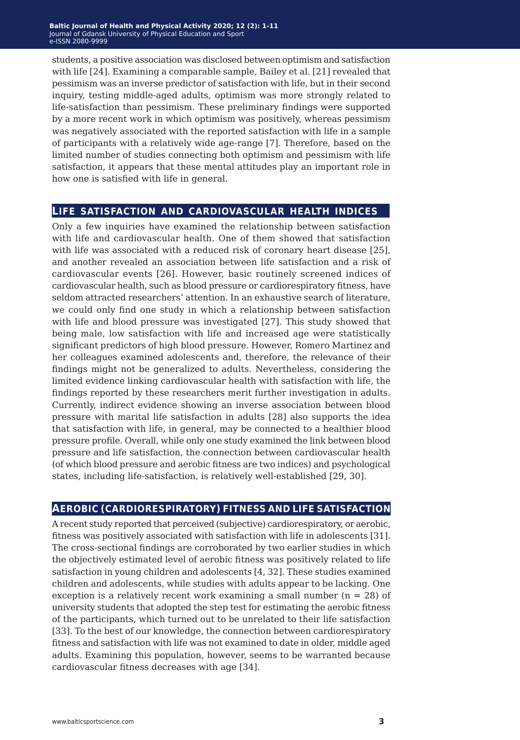students, a positive association was disclosed between optimism and satisfaction with life [24]. Examining a comparable sample, Bailey et al. [21] revealed that pessimism was an inverse predictor of satisfaction with life, but in their second inquiry, testing middle-aged adults, optimism was more strongly related to life-satisfaction than pessimism. These preliminary findings were supported by a more recent work in which optimism was positively, whereas pessimism was negatively associated with the reported satisfaction with life in a sample of participants with a relatively wide age-range [7]. Therefore, based on the limited number of studies connecting both optimism and pessimism with life satisfaction, it appears that these mental attitudes play an important role in how one is satisfied with life in general.

#### **life satisfaction and cardiovascular health indices**

Only a few inquiries have examined the relationship between satisfaction with life and cardiovascular health. One of them showed that satisfaction with life was associated with a reduced risk of coronary heart disease [25], and another revealed an association between life satisfaction and a risk of cardiovascular events [26]. However, basic routinely screened indices of cardiovascular health, such as blood pressure or cardiorespiratory fitness, have seldom attracted researchers' attention. In an exhaustive search of literature, we could only find one study in which a relationship between satisfaction with life and blood pressure was investigated [27]. This study showed that being male, low satisfaction with life and increased age were statistically significant predictors of high blood pressure. However, Romero Martinez and her colleagues examined adolescents and, therefore, the relevance of their findings might not be generalized to adults. Nevertheless, considering the limited evidence linking cardiovascular health with satisfaction with life, the findings reported by these researchers merit further investigation in adults. Currently, indirect evidence showing an inverse association between blood pressure with marital life satisfaction in adults [28] also supports the idea that satisfaction with life, in general, may be connected to a healthier blood pressure profile. Overall, while only one study examined the link between blood pressure and life satisfaction, the connection between cardiovascular health (of which blood pressure and aerobic fitness are two indices) and psychological states, including life-satisfaction, is relatively well-established [29, 30].

#### **aerobic (cardiorespiratory) fitness and life satisfaction**

A recent study reported that perceived (subjective) cardiorespiratory, or aerobic, fitness was positively associated with satisfaction with life in adolescents [31]. The cross-sectional findings are corroborated by two earlier studies in which the objectively estimated level of aerobic fitness was positively related to life satisfaction in young children and adolescents [4, 32]. These studies examined children and adolescents, while studies with adults appear to be lacking. One exception is a relatively recent work examining a small number  $(n = 28)$  of university students that adopted the step test for estimating the aerobic fitness of the participants, which turned out to be unrelated to their life satisfaction [33]. To the best of our knowledge, the connection between cardiorespiratory fitness and satisfaction with life was not examined to date in older, middle aged adults. Examining this population, however, seems to be warranted because cardiovascular fitness decreases with age [34].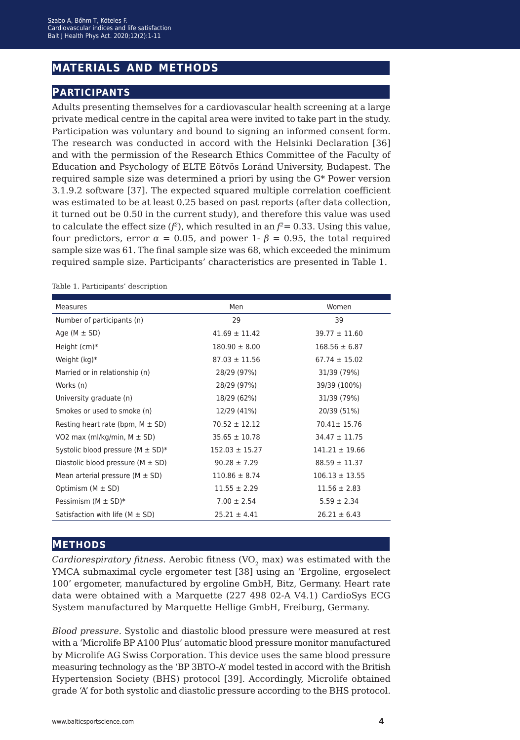### **materials and methods**

#### **participants**

Adults presenting themselves for a cardiovascular health screening at a large private medical centre in the capital area were invited to take part in the study. Participation was voluntary and bound to signing an informed consent form. The research was conducted in accord with the Helsinki Declaration [36] and with the permission of the Research Ethics Committee of the Faculty of Education and Psychology of ELTE Eötvös Loránd University, Budapest. The required sample size was determined a priori by using the G\* Power version 3.1.9.2 software [37]. The expected squared multiple correlation coefficient was estimated to be at least 0.25 based on past reports (after data collection, it turned out be 0.50 in the current study), and therefore this value was used to calculate the effect size  $(f^2)$ , which resulted in an  $f^2 = 0.33$ . Using this value, four predictors, error *α* = 0.05, and power 1- *β* = 0.95, the total required sample size was 61. The final sample size was 68, which exceeded the minimum required sample size. Participants' characteristics are presented in Table 1.

| <b>Measures</b>                         | Men                | Women              |
|-----------------------------------------|--------------------|--------------------|
| Number of participants (n)              | 29                 | 39                 |
| Age $(M \pm SD)$                        | $41.69 \pm 11.42$  | $39.77 \pm 11.60$  |
| Height $(cm)*$                          | $180.90 \pm 8.00$  | $168.56 \pm 6.87$  |
| Weight $(kq)^*$                         | $87.03 \pm 11.56$  | $67.74 \pm 15.02$  |
| Married or in relationship (n)          | 28/29 (97%)        | 31/39 (79%)        |
| Works (n)                               | 28/29 (97%)        | 39/39 (100%)       |
| University graduate (n)                 | 18/29 (62%)        | 31/39 (79%)        |
| Smokes or used to smoke (n)             | 12/29 (41%)        | 20/39 (51%)        |
| Resting heart rate (bpm, $M \pm SD$ )   | $70.52 \pm 12.12$  | 70.41± 15.76       |
| VO2 max (ml/kg/min, $M \pm SD$ )        | $35.65 \pm 10.78$  | $34.47 \pm 11.75$  |
| Systolic blood pressure ( $M \pm SD$ )* | $152.03 \pm 15.27$ | $141.21 \pm 19.66$ |
| Diastolic blood pressure ( $M \pm SD$ ) | $90.28 \pm 7.29$   | $88.59 \pm 11.37$  |
| Mean arterial pressure ( $M \pm SD$ )   | $110.86 \pm 8.74$  | $106.13 \pm 13.55$ |
| Optimism $(M \pm SD)$                   | $11.55 \pm 2.29$   | $11.56 \pm 2.83$   |
| Pessimism ( $M \pm SD$ )*               | $7.00 \pm 2.54$    | $5.59 \pm 2.34$    |
| Satisfaction with life ( $M \pm SD$ )   | $25.21 \pm 4.41$   | $26.21 \pm 6.43$   |

Table 1. Participants' description

#### **methods**

*Cardiorespiratory fitness.* Aerobic fitness (VO<sub>2</sub> max) was estimated with the YMCA submaximal cycle ergometer test [38] using an 'Ergoline, ergoselect 100' ergometer, manufactured by ergoline GmbH, Bitz, Germany. Heart rate data were obtained with a Marquette (227 498 02-A V4.1) CardioSys ECG System manufactured by Marquette Hellige GmbH, Freiburg, Germany.

*Blood pressure.* Systolic and diastolic blood pressure were measured at rest with a 'Microlife BP A100 Plus' automatic blood pressure monitor manufactured by Microlife AG Swiss Corporation. This device uses the same blood pressure measuring technology as the 'BP 3BTO-A' model tested in accord with the British Hypertension Society (BHS) protocol [39]. Accordingly, Microlife obtained grade 'A' for both systolic and diastolic pressure according to the BHS protocol.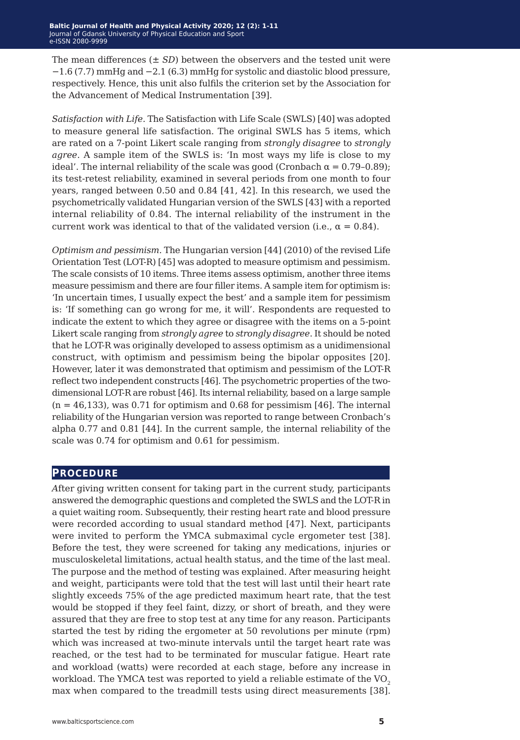The mean differences  $(\pm SD)$  between the observers and the tested unit were −1.6 (7.7) mmHg and −2.1 (6.3) mmHg for systolic and diastolic blood pressure, respectively. Hence, this unit also fulfils the criterion set by the Association for the Advancement of Medical Instrumentation [39].

*Satisfaction with Life.* The Satisfaction with Life Scale (SWLS) [40] was adopted to measure general life satisfaction. The original SWLS has 5 items, which are rated on a 7-point Likert scale ranging from *strongly disagree* to *strongly agree*. A sample item of the SWLS is: 'In most ways my life is close to my ideal'. The internal reliability of the scale was good (Cronbach  $\alpha = 0.79{\text -}0.89$ ); its test-retest reliability, examined in several periods from one month to four years, ranged between 0.50 and 0.84 [41, 42]. In this research, we used the psychometrically validated Hungarian version of the SWLS [43] with a reported internal reliability of 0.84. The internal reliability of the instrument in the current work was identical to that of the validated version (i.e.,  $\alpha = 0.84$ ).

*Optimism and pessimism.* The Hungarian version [44] (2010) of the revised Life Orientation Test (LOT-R) [45] was adopted to measure optimism and pessimism. The scale consists of 10 items. Three items assess optimism, another three items measure pessimism and there are four filler items. A sample item for optimism is: 'In uncertain times, I usually expect the best' and a sample item for pessimism is: 'If something can go wrong for me, it will'. Respondents are requested to indicate the extent to which they agree or disagree with the items on a 5-point Likert scale ranging from *strongly agree* to *strongly disagree*. It should be noted that he LOT-R was originally developed to assess optimism as a unidimensional construct, with optimism and pessimism being the bipolar opposites [20]. However, later it was demonstrated that optimism and pessimism of the LOT-R reflect two independent constructs [46]. The psychometric properties of the twodimensional LOT-R are robust [46]. Its internal reliability, based on a large sample  $(n = 46,133)$ , was 0.71 for optimism and 0.68 for pessimism [46]. The internal reliability of the Hungarian version was reported to range between Cronbach's alpha 0.77 and 0.81 [44]. In the current sample, the internal reliability of the scale was 0.74 for optimism and 0.61 for pessimism.

#### **procedure**

*A*fter giving written consent for taking part in the current study, participants answered the demographic questions and completed the SWLS and the LOT-R in a quiet waiting room. Subsequently, their resting heart rate and blood pressure were recorded according to usual standard method [47]. Next, participants were invited to perform the YMCA submaximal cycle ergometer test [38]. Before the test, they were screened for taking any medications, injuries or musculoskeletal limitations, actual health status, and the time of the last meal. The purpose and the method of testing was explained. After measuring height and weight, participants were told that the test will last until their heart rate slightly exceeds 75% of the age predicted maximum heart rate, that the test would be stopped if they feel faint, dizzy, or short of breath, and they were assured that they are free to stop test at any time for any reason. Participants started the test by riding the ergometer at 50 revolutions per minute (rpm) which was increased at two-minute intervals until the target heart rate was reached, or the test had to be terminated for muscular fatigue. Heart rate and workload (watts) were recorded at each stage, before any increase in workload. The YMCA test was reported to yield a reliable estimate of the  $VO<sub>2</sub>$ max when compared to the treadmill tests using direct measurements [38].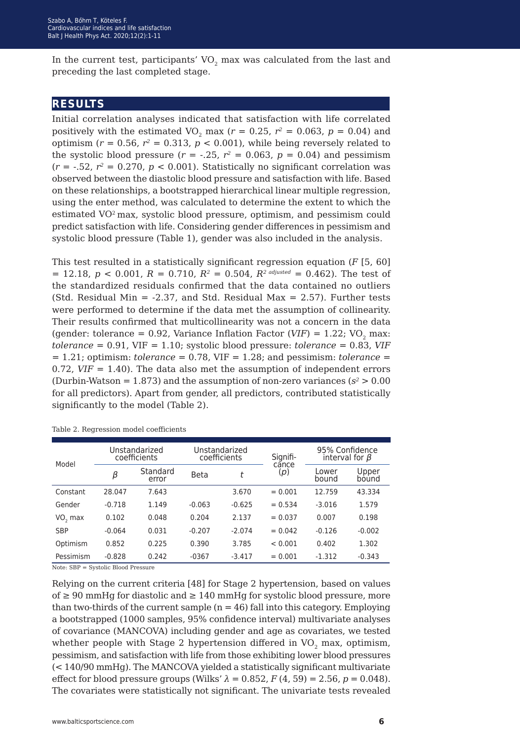In the current test, participants'  $VO<sub>2</sub>$  max was calculated from the last and preceding the last completed stage.

#### **results**

Initial correlation analyses indicated that satisfaction with life correlated positively with the estimated VO<sub>2</sub> max ( $r = 0.25$ ,  $r^2 = 0.063$ ,  $p = 0.04$ ) and optimism ( $r = 0.56$ ,  $r^2 = 0.313$ ,  $p < 0.001$ ), while being reversely related to the systolic blood pressure  $(r = -.25, r^2 = 0.063, p = 0.04)$  and pessimism  $(r = -.52, r^2 = 0.270, p < 0.001)$ . Statistically no significant correlation was observed between the diastolic blood pressure and satisfaction with life. Based on these relationships, a bootstrapped hierarchical linear multiple regression, using the enter method, was calculated to determine the extent to which the estimated VO2 max, systolic blood pressure, optimism, and pessimism could predict satisfaction with life. Considering gender differences in pessimism and systolic blood pressure (Table 1), gender was also included in the analysis.

This test resulted in a statistically significant regression equation (*F* [5, 60]  $= 12.18, p < 0.001, R = 0.710, R^2 = 0.504, R^2$  *adjusted* = 0.462). The test of the standardized residuals confirmed that the data contained no outliers (Std. Residual Min =  $-2.37$ , and Std. Residual Max = 2.57). Further tests were performed to determine if the data met the assumption of collinearity. Their results confirmed that multicollinearity was not a concern in the data (gender: tolerance =  $0.92$ , Variance Inflation Factor (VIF) =  $1.22$ ; VO<sub>2</sub> max: *tolerance* = 0.91, VIF = 1.10; systolic blood pressure: *tolerance* = 0.83, *VIF*  $= 1.21$ ; optimism: *tolerance*  $= 0.78$ , VIF  $= 1.28$ ; and pessimism: *tolerance*  $=$ 0.72,  $VIF = 1.40$ ). The data also met the assumption of independent errors (Durbin-Watson =  $1.873$ ) and the assumption of non-zero variances ( $s^2 > 0.00$ ) for all predictors). Apart from gender, all predictors, contributed statistically significantly to the model (Table 2).

| Model                               | Unstandarized<br>coefficients |                   | Unstandarized<br>coefficients |          | Signifi-     | 95% Confidence<br>interval for $\beta$ |                |
|-------------------------------------|-------------------------------|-------------------|-------------------------------|----------|--------------|----------------------------------------|----------------|
|                                     | β                             | Standard<br>error | <b>Beta</b>                   | t        | cance<br>(p) | Lower<br>bound                         | Upper<br>bound |
| Constant                            | 28.047                        | 7.643             |                               | 3.670    | $= 0.001$    | 12.759                                 | 43.334         |
| Gender                              | $-0.718$                      | 1.149             | $-0.063$                      | $-0.625$ | $= 0.534$    | $-3.016$                               | 1.579          |
| VO <sub>2</sub> max                 | 0.102                         | 0.048             | 0.204                         | 2.137    | $= 0.037$    | 0.007                                  | 0.198          |
| <b>SBP</b>                          | $-0.064$                      | 0.031             | $-0.207$                      | $-2.074$ | $= 0.042$    | $-0.126$                               | $-0.002$       |
| Optimism                            | 0.852                         | 0.225             | 0.390                         | 3.785    | < 0.001      | 0.402                                  | 1.302          |
| Pessimism                           | $-0.828$                      | 0.242             | $-0367$                       | $-3.417$ | $= 0.001$    | $-1.312$                               | $-0.343$       |
| Note: SBP = Systolic Blood Pressure |                               |                   |                               |          |              |                                        |                |

Table 2. Regression model coefficients

Relying on the current criteria [48] for Stage 2 hypertension, based on values of ≥ 90 mmHg for diastolic and ≥ 140 mmHg for systolic blood pressure, more than two-thirds of the current sample  $(n = 46)$  fall into this category. Employing a bootstrapped (1000 samples, 95% confidence interval) multivariate analyses of covariance (MANCOVA) including gender and age as covariates, we tested whether people with Stage 2 hypertension differed in VO<sub>2</sub> max, optimism, pessimism, and satisfaction with life from those exhibiting lower blood pressures (< 140/90 mmHg). The MANCOVA yielded a statistically significant multivariate effect for blood pressure groups (Wilks'  $\lambda = 0.852$ ,  $F(4, 59) = 2.56$ ,  $p = 0.048$ ). The covariates were statistically not significant. The univariate tests revealed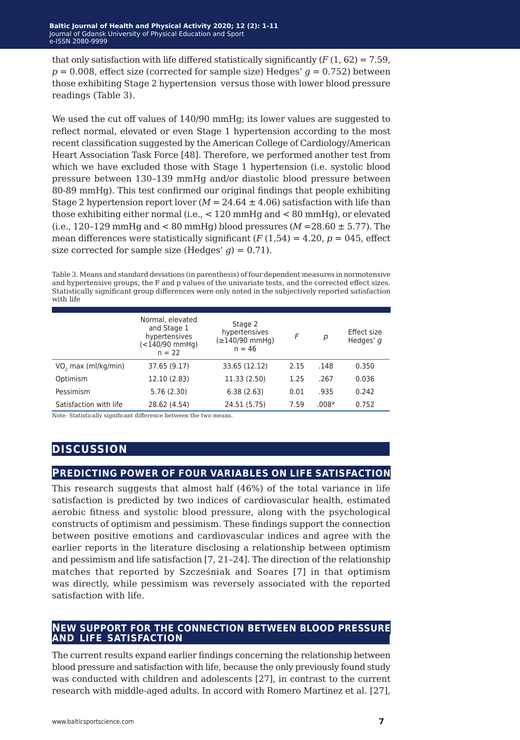that only satisfaction with life differed statistically significantly  $(F(1, 62) = 7.59$ .  $p = 0.008$ , effect size (corrected for sample size) Hedges'  $q = 0.752$ ) between those exhibiting Stage 2 hypertension versus those with lower blood pressure readings (Table 3).

We used the cut off values of 140/90 mmHg; its lower values are suggested to reflect normal, elevated or even Stage 1 hypertension according to the most recent classification suggested by the American College of Cardiology/American Heart Association Task Force [48]. Therefore, we performed another test from which we have excluded those with Stage 1 hypertension (i.e. systolic blood pressure between 130–139 mmHg and/or diastolic blood pressure between 80-89 mmHg). This test confirmed our original findings that people exhibiting Stage 2 hypertension report lover  $(M = 24.64 \pm 4.06)$  satisfaction with life than those exhibiting either normal (i.e., < 120 mmHg and < 80 mmHg), or elevated (i.e.,  $120-129$  mmHg and  $\lt 80$  mmHg) blood pressures ( $M = 28.60 \pm 5.77$ ). The mean differences were statistically significant  $(F(1,54) = 4.20, p = 045,$  effect size corrected for sample size (Hedges'  $q$ ) = 0.71).

Table 3. Means and standard deviations (in parenthesis) of four dependent measures in normotensive and hypertensive groups, the F and p values of the univariate tests, and the corrected effect sizes. Statistically significant group differences were only noted in the subjectively reported satisfaction with life

|                                 | Normal, elevated<br>and Stage 1<br>hypertensives<br>(<140/90 mmHq)<br>$n = 22$ | Stage 2<br>hypertensives<br>(≥140/90 mmHq)<br>$n = 46$ | F    | р       | Effect size<br>Hedges' q |
|---------------------------------|--------------------------------------------------------------------------------|--------------------------------------------------------|------|---------|--------------------------|
| VO <sub>2</sub> max (ml/kg/min) | 37.65 (9.17)                                                                   | 33.65 (12.12)                                          | 2.15 | .148    | 0.350                    |
| Optimism                        | 12.10 (2.83)                                                                   | 11.33 (2.50)                                           | 1.25 | .267    | 0.036                    |
| Pessimism                       | 5.76 (2.30)                                                                    | 6.38(2.63)                                             | 0.01 | .935    | 0.242                    |
| Satisfaction with life          | 28.62 (4.54)                                                                   | 24.51 (5.75)                                           | 7.59 | $.008*$ | 0.752                    |

Note: Statistically significant difference between the two means.

## **discussion**

#### **predicting power of four variables on life satisfaction**

This research suggests that almost half (46%) of the total variance in life satisfaction is predicted by two indices of cardiovascular health, estimated aerobic fitness and systolic blood pressure, along with the psychological constructs of optimism and pessimism. These findings support the connection between positive emotions and cardiovascular indices and agree with the earlier reports in the literature disclosing a relationship between optimism and pessimism and life satisfaction [7, 21–24]. The direction of the relationship matches that reported by Szcześniak and Soares [7] in that optimism was directly, while pessimism was reversely associated with the reported satisfaction with life.

#### **new support for the connection between blood pressure and life satisfaction**

The current results expand earlier findings concerning the relationship between blood pressure and satisfaction with life, because the only previously found study was conducted with children and adolescents [27], in contrast to the current research with middle-aged adults. In accord with Romero Martinez et al. [27],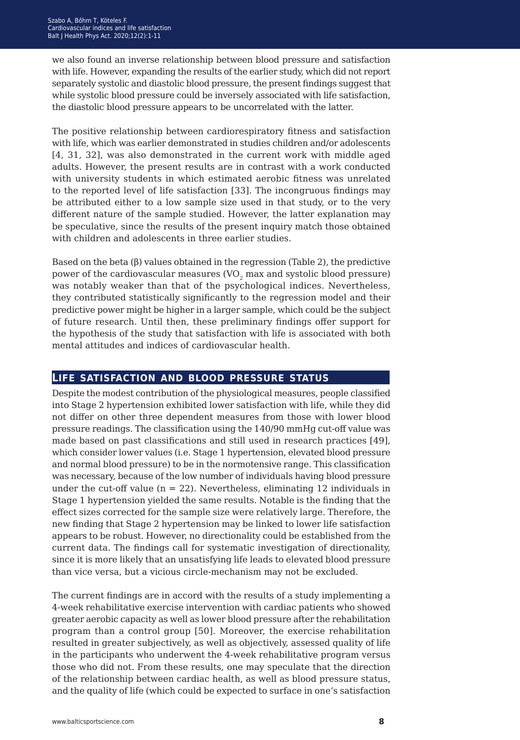we also found an inverse relationship between blood pressure and satisfaction with life. However, expanding the results of the earlier study, which did not report separately systolic and diastolic blood pressure, the present findings suggest that while systolic blood pressure could be inversely associated with life satisfaction, the diastolic blood pressure appears to be uncorrelated with the latter.

The positive relationship between cardiorespiratory fitness and satisfaction with life, which was earlier demonstrated in studies children and/or adolescents [4, 31, 32], was also demonstrated in the current work with middle aged adults. However, the present results are in contrast with a work conducted with university students in which estimated aerobic fitness was unrelated to the reported level of life satisfaction [33]. The incongruous findings may be attributed either to a low sample size used in that study, or to the very different nature of the sample studied. However, the latter explanation may be speculative, since the results of the present inquiry match those obtained with children and adolescents in three earlier studies.

Based on the beta  $(\beta)$  values obtained in the regression (Table 2), the predictive power of the cardiovascular measures (VO<sub>2</sub> max and systolic blood pressure) was notably weaker than that of the psychological indices. Nevertheless, they contributed statistically significantly to the regression model and their predictive power might be higher in a larger sample, which could be the subject of future research. Until then, these preliminary findings offer support for the hypothesis of the study that satisfaction with life is associated with both mental attitudes and indices of cardiovascular health.

#### **life satisfaction and blood pressure status**

Despite the modest contribution of the physiological measures, people classified into Stage 2 hypertension exhibited lower satisfaction with life, while they did not differ on other three dependent measures from those with lower blood pressure readings. The classification using the 140/90 mmHg cut-off value was made based on past classifications and still used in research practices [49], which consider lower values (i.e. Stage 1 hypertension, elevated blood pressure and normal blood pressure) to be in the normotensive range. This classification was necessary, because of the low number of individuals having blood pressure under the cut-off value ( $n = 22$ ). Nevertheless, eliminating 12 individuals in Stage 1 hypertension yielded the same results. Notable is the finding that the effect sizes corrected for the sample size were relatively large. Therefore, the new finding that Stage 2 hypertension may be linked to lower life satisfaction appears to be robust. However, no directionality could be established from the current data. The findings call for systematic investigation of directionality, since it is more likely that an unsatisfying life leads to elevated blood pressure than vice versa, but a vicious circle-mechanism may not be excluded.

The current findings are in accord with the results of a study implementing a 4-week rehabilitative exercise intervention with cardiac patients who showed greater aerobic capacity as well as lower blood pressure after the rehabilitation program than a control group [50]. Moreover, the exercise rehabilitation resulted in greater subjectively, as well as objectively, assessed quality of life in the participants who underwent the 4-week rehabilitative program versus those who did not. From these results, one may speculate that the direction of the relationship between cardiac health, as well as blood pressure status, and the quality of life (which could be expected to surface in one's satisfaction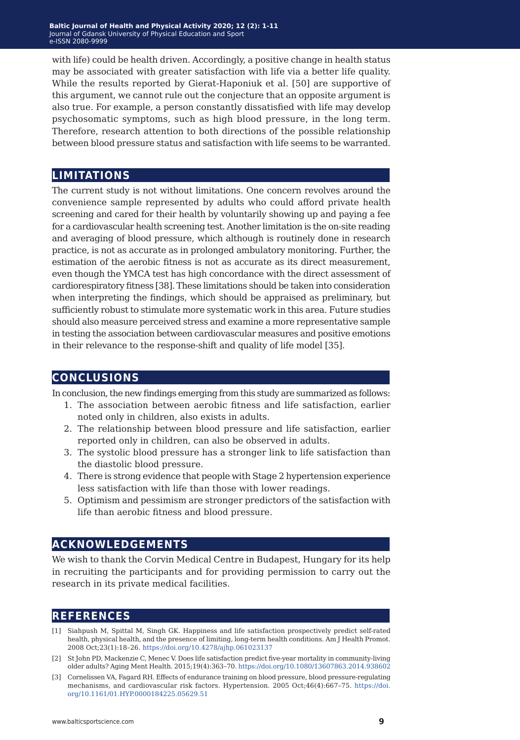with life) could be health driven. Accordingly, a positive change in health status may be associated with greater satisfaction with life via a better life quality. While the results reported by Gierat-Haponiuk et al. [50] are supportive of this argument, we cannot rule out the conjecture that an opposite argument is also true. For example, a person constantly dissatisfied with life may develop psychosomatic symptoms, such as high blood pressure, in the long term. Therefore, research attention to both directions of the possible relationship between blood pressure status and satisfaction with life seems to be warranted.

#### **limitations**

The current study is not without limitations. One concern revolves around the convenience sample represented by adults who could afford private health screening and cared for their health by voluntarily showing up and paying a fee for a cardiovascular health screening test. Another limitation is the on-site reading and averaging of blood pressure, which although is routinely done in research practice, is not as accurate as in prolonged ambulatory monitoring. Further, the estimation of the aerobic fitness is not as accurate as its direct measurement, even though the YMCA test has high concordance with the direct assessment of cardiorespiratory fitness [38]. These limitations should be taken into consideration when interpreting the findings, which should be appraised as preliminary, but sufficiently robust to stimulate more systematic work in this area. Future studies should also measure perceived stress and examine a more representative sample in testing the association between cardiovascular measures and positive emotions in their relevance to the response-shift and quality of life model [35].

#### **conclusions**

In conclusion, the new findings emerging from this study are summarized as follows:

- 1. The association between aerobic fitness and life satisfaction, earlier noted only in children, also exists in adults.
- 2. The relationship between blood pressure and life satisfaction, earlier reported only in children, can also be observed in adults.
- 3. The systolic blood pressure has a stronger link to life satisfaction than the diastolic blood pressure.
- 4. There is strong evidence that people with Stage 2 hypertension experience less satisfaction with life than those with lower readings.
- 5. Optimism and pessimism are stronger predictors of the satisfaction with life than aerobic fitness and blood pressure.

#### **acknowledgements**

We wish to thank the Corvin Medical Centre in Budapest, Hungary for its help in recruiting the participants and for providing permission to carry out the research in its private medical facilities.

#### **references**

- [1] Siahpush M, Spittal M, Singh GK. Happiness and life satisfaction prospectively predict self-rated health, physical health, and the presence of limiting, long-term health conditions. Am J Health Promot. 2008 Oct;23(1):18–26. <https://doi.org/10.4278/ajhp.061023137>
- [2] St John PD, Mackenzie C, Menec V. Does life satisfaction predict five-year mortality in community-living older adults? Aging Ment Health. 2015;19(4):363–70.<https://doi.org/10.1080/13607863.2014.938602>
- [3] Cornelissen VA, Fagard RH. Effects of endurance training on blood pressure, blood pressure-regulating mechanisms, and cardiovascular risk factors. Hypertension. 2005 Oct;46(4):667–75. https://doi. org/10.1161/01.HYP.0000184225.05629.51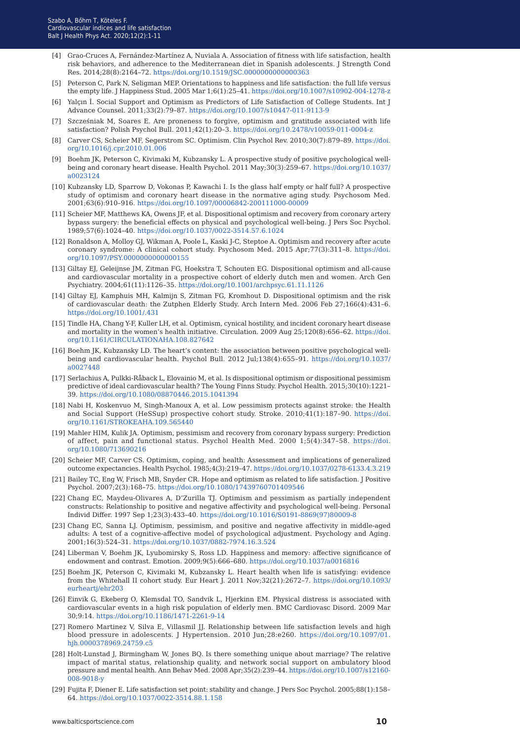- [4] Grao-Cruces A, Fernández-Martínez A, Nuviala A. Association of fitness with life satisfaction, health risk behaviors, and adherence to the Mediterranean diet in Spanish adolescents. J Strength Cond Res. 2014;28(8):2164–72.<https://doi.org/10.1519/JSC.0000000000000363>
- [5] Peterson C, Park N, Seligman MEP. Orientations to happiness and life satisfaction: the full life versus the empty life. J Happiness Stud. 2005 Mar 1;6(1):25–41.<https://doi.org/10.1007/s10902-004-1278-z>
- [6] Yalçın İ. Social Support and Optimism as Predictors of Life Satisfaction of College Students. Int J Advance Counsel. 2011;33(2):79–87.<https://doi.org/10.1007/s10447-011-9113-9>
- [7] Szcześniak M, Soares E. Are proneness to forgive, optimism and gratitude associated with life satisfaction? Polish Psychol Bull. 2011;42(1):20–3.<https://doi.org/10.2478/v10059-011-0004-z>
- [8] Carver CS, Scheier MF, Segerstrom SC. Optimism. Clin Psychol Rev. 2010;30(7):879–89. [https://doi.](https://doi.org/10.1016/j.cpr.2010.01.006) [org/10.1016/j.cpr.2010.01.006](https://doi.org/10.1016/j.cpr.2010.01.006)
- [9] Boehm JK, Peterson C, Kivimaki M, Kubzansky L. A prospective study of positive psychological wellbeing and coronary heart disease. Health Psychol. 2011 May;30(3):259–67. [https://doi.org/10.1037/](https://doi.org/10.1037/a0023124) [a0023124](https://doi.org/10.1037/a0023124)
- [10] Kubzansky LD, Sparrow D, Vokonas P, Kawachi I. Is the glass half empty or half full? A prospective study of optimism and coronary heart disease in the normative aging study. Psychosom Med. 2001;63(6):910–916. <https://doi.org/10.1097/00006842-200111000-00009>
- [11] Scheier MF, Matthews KA, Owens JF, et al. Dispositional optimism and recovery from coronary artery bypass surgery: the beneficial effects on physical and psychological well-being. J Pers Soc Psychol. 1989;57(6):1024–40. <https://doi.org/10.1037/0022-3514.57.6.1024>
- [12] Ronaldson A, Molloy GJ, Wikman A, Poole L, Kaski J-C, Steptoe A. Optimism and recovery after acute coronary syndrome: A clinical cohort study. Psychosom Med. 2015 Apr;77(3):311–8. [https://doi.](https://doi.org/10.1097/PSY.0000000000000155) [org/10.1097/PSY.0000000000000155](https://doi.org/10.1097/PSY.0000000000000155)
- [13] Giltay EJ, Geleijnse JM, Zitman FG, Hoekstra T, Schouten EG. Dispositional optimism and all-cause and cardiovascular mortality in a prospective cohort of elderly dutch men and women. Arch Gen Psychiatry. 2004;61(11):1126–35. <https://doi.org/10.1001/archpsyc.61.11.1126>
- [14] Giltay EJ, Kamphuis MH, Kalmijn S, Zitman FG, Kromhout D. Dispositional optimism and the risk of cardiovascular death: the Zutphen Elderly Study. Arch Intern Med. 2006 Feb 27;166(4):431–6. <https://doi.org/10.1001/.431>
- [15] Tindle HA, Chang Y-F, Kuller LH, et al. Optimism, cynical hostility, and incident coronary heart disease and mortality in the women's health initiative. Circulation. 2009 Aug 25;120(8):656–62. [https://doi.](https://doi.org/10.1161/CIRCULATIONAHA.108.827642) [org/10.1161/CIRCULATIONAHA.108.827642](https://doi.org/10.1161/CIRCULATIONAHA.108.827642)
- [16] Boehm JK, Kubzansky LD. The heart's content: the association between positive psychological wellbeing and cardiovascular health. Psychol Bull. 2012 Jul;138(4):655–91. [https://doi.org/10.1037/](https://doi.org/10.1037/a0027448) [a0027448](https://doi.org/10.1037/a0027448)
- [17] Serlachius A, Pulkki-Råback L, Elovainio M, et al. Is dispositional optimism or dispositional pessimism predictive of ideal cardiovascular health? The Young Finns Study. Psychol Health. 2015;30(10):1221– 39. <https://doi.org/10.1080/08870446.2015.1041394>
- [18] Nabi H, Koskenvuo M, Singh-Manoux A, et al. Low pessimism protects against stroke: the Health and Social Support (HeSSup) prospective cohort study. Stroke. 2010;41(1):187–90. [https://doi.](https://doi.org/10.1161/STROKEAHA.109.565440) [org/10.1161/STROKEAHA.109.565440](https://doi.org/10.1161/STROKEAHA.109.565440)
- [19] Mahler HIM, Kulik JA. Optimism, pessimism and recovery from coronary bypass surgery: Prediction of affect, pain and functional status. Psychol Health Med. 2000 1;5(4):347–58. [https://doi.](https://doi.org/10.1080/713690216) [org/10.1080/713690216](https://doi.org/10.1080/713690216)
- [20] Scheier MF, Carver CS. Optimism, coping, and health: Assessment and implications of generalized outcome expectancies. Health Psychol. 1985;4(3):219–47.<https://doi.org/10.1037/0278-6133.4.3.219>
- [21] Bailey TC, Eng W, Frisch MB, Snyder CR. Hope and optimism as related to life satisfaction. J Positive Psychol. 2007;2(3):168–75.<https://doi.org/10.1080/17439760701409546>
- [22] Chang EC, Maydeu-Olivares A, D'Zurilla TJ. Optimism and pessimism as partially independent constructs: Relationship to positive and negative affectivity and psychological well-being. Personal Individ Differ. 1997 Sep 1;23(3):433–40. [https://doi.org/10.1016/S0191-8869\(97\)80009-8](https://doi.org/10.1016/S0191-8869(97)80009-8)
- [23] Chang EC, Sanna LJ. Optimism, pessimism, and positive and negative affectivity in middle-aged adults: A test of a cognitive-affective model of psychological adjustment. Psychology and Aging. 2001;16(3):524–31.<https://doi.org/10.1037/0882-7974.16.3.524>
- [24] Liberman V, Boehm JK, Lyubomirsky S, Ross LD. Happiness and memory: affective significance of endowment and contrast. Emotion. 2009;9(5):666–680.<https://doi.org/10.1037/a0016816>
- [25] Boehm JK, Peterson C, Kivimaki M, Kubzansky L. Heart health when life is satisfying: evidence from the Whitehall II cohort study. Eur Heart J. 2011 Nov;32(21):2672–7[. https://doi.org/10.1093/](https://doi.org/10.1093/eurheartj/ehr203) [eurheartj/ehr203](https://doi.org/10.1093/eurheartj/ehr203)
- [26] Einvik G, Ekeberg O, Klemsdal TO, Sandvik L, Hjerkinn EM. Physical distress is associated with cardiovascular events in a high risk population of elderly men. BMC Cardiovasc Disord. 2009 Mar 30;9:14.<https://doi.org/10.1186/1471-2261-9-14>
- [27] Romero Martinez V, Silva E, Villasmil JJ. Relationship between life satisfaction levels and high blood pressure in adolescents. J Hypertension. 2010 Jun;28:e260. [https://doi.org/10.1097/01.](https://doi.org/10.1097/01.hjh.0000378969.24759.c5) [hjh.0000378969.24759.c5](https://doi.org/10.1097/01.hjh.0000378969.24759.c5)
- [28] Holt-Lunstad J, Birmingham W, Jones BQ. Is there something unique about marriage? The relative impact of marital status, relationship quality, and network social support on ambulatory blood pressure and mental health. Ann Behav Med. 2008 Apr;35(2):239–44. [https://doi.org/10.1007/s12160-](https://doi.org/10.1007/s12160-008-9018-y) [008-9018-y](https://doi.org/10.1007/s12160-008-9018-y)
- [29] Fujita F, Diener E. Life satisfaction set point: stability and change. J Pers Soc Psychol. 2005;88(1):158– 64. <https://doi.org/10.1037/0022-3514.88.1.158>